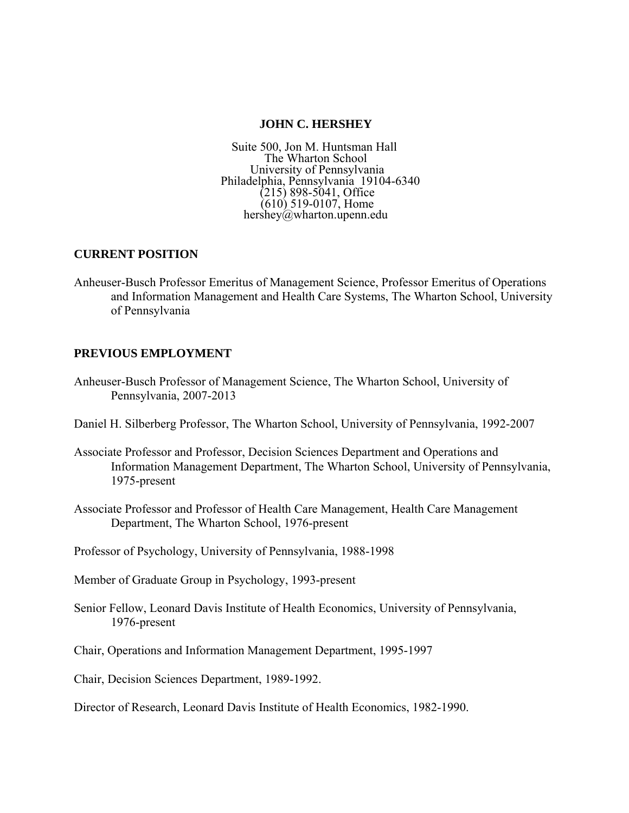## **JOHN C. HERSHEY**

Suite 500, Jon M. Huntsman Hall The Wharton School University of Pennsylvania Philadelphia, Pennsylvania 19104-6340  $(215)$  898-5041, Office (610) 519-0107, Home hershey@wharton.upenn.edu

# **CURRENT POSITION**

Anheuser-Busch Professor Emeritus of Management Science, Professor Emeritus of Operations and Information Management and Health Care Systems, The Wharton School, University of Pennsylvania

# **PREVIOUS EMPLOYMENT**

- Anheuser-Busch Professor of Management Science, The Wharton School, University of Pennsylvania, 2007-2013
- Daniel H. Silberberg Professor, The Wharton School, University of Pennsylvania, 1992-2007
- Associate Professor and Professor, Decision Sciences Department and Operations and Information Management Department, The Wharton School, University of Pennsylvania, 1975-present
- Associate Professor and Professor of Health Care Management, Health Care Management Department, The Wharton School, 1976-present
- Professor of Psychology, University of Pennsylvania, 1988-1998
- Member of Graduate Group in Psychology, 1993-present
- Senior Fellow, Leonard Davis Institute of Health Economics, University of Pennsylvania, 1976-present
- Chair, Operations and Information Management Department, 1995-1997
- Chair, Decision Sciences Department, 1989-1992.
- Director of Research, Leonard Davis Institute of Health Economics, 1982-1990.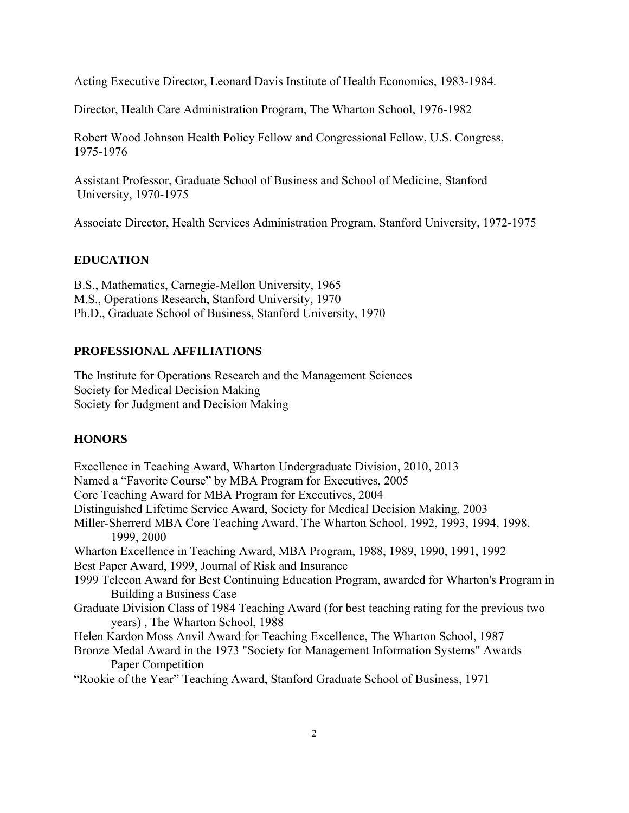Acting Executive Director, Leonard Davis Institute of Health Economics, 1983-1984.

Director, Health Care Administration Program, The Wharton School, 1976-1982

 Robert Wood Johnson Health Policy Fellow and Congressional Fellow, U.S. Congress, 1975-1976

 Assistant Professor, Graduate School of Business and School of Medicine, Stanford University, 1970-1975

Associate Director, Health Services Administration Program, Stanford University, 1972-1975

# **EDUCATION**

B.S., Mathematics, Carnegie-Mellon University, 1965 M.S., Operations Research, Stanford University, 1970 Ph.D., Graduate School of Business, Stanford University, 1970

## **PROFESSIONAL AFFILIATIONS**

The Institute for Operations Research and the Management Sciences Society for Medical Decision Making Society for Judgment and Decision Making

# **HONORS**

Excellence in Teaching Award, Wharton Undergraduate Division, 2010, 2013 Named a "Favorite Course" by MBA Program for Executives, 2005 Core Teaching Award for MBA Program for Executives, 2004 Distinguished Lifetime Service Award, Society for Medical Decision Making, 2003 Miller-Sherrerd MBA Core Teaching Award, The Wharton School, 1992, 1993, 1994, 1998, 1999, 2000 Wharton Excellence in Teaching Award, MBA Program, 1988, 1989, 1990, 1991, 1992 Best Paper Award, 1999, Journal of Risk and Insurance 1999 Telecon Award for Best Continuing Education Program, awarded for Wharton's Program in Building a Business Case Graduate Division Class of 1984 Teaching Award (for best teaching rating for the previous two years) , The Wharton School, 1988 Helen Kardon Moss Anvil Award for Teaching Excellence, The Wharton School, 1987 Bronze Medal Award in the 1973 "Society for Management Information Systems" Awards Paper Competition "Rookie of the Year" Teaching Award, Stanford Graduate School of Business, 1971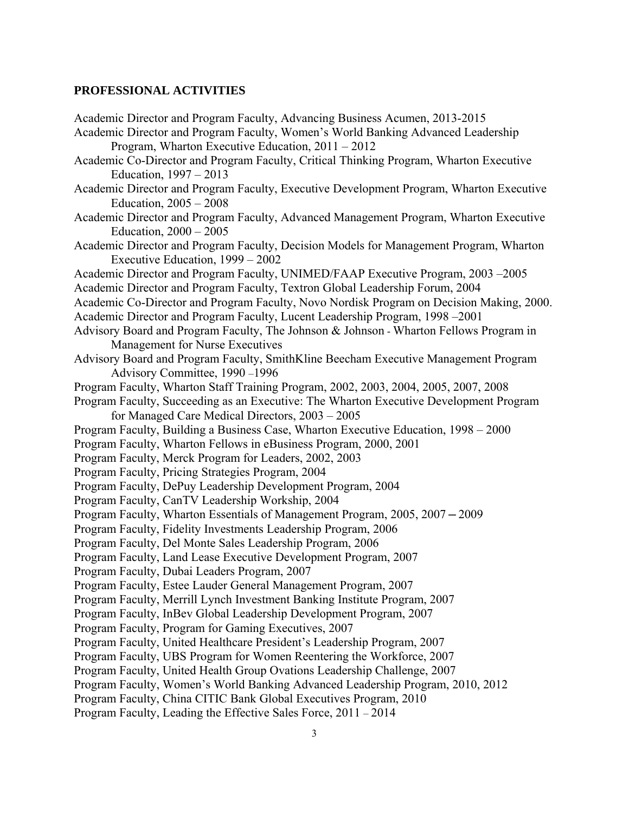# **PROFESSIONAL ACTIVITIES**

| Academic Director and Program Faculty, Advancing Business Acumen, 2013-2015              |
|------------------------------------------------------------------------------------------|
| Academic Director and Program Faculty, Women's World Banking Advanced Leadership         |
| Program, Wharton Executive Education, $2011 - 2012$                                      |
| Academic Co-Director and Program Faculty, Critical Thinking Program, Wharton Executive   |
| Education, 1997 – 2013                                                                   |
| Academic Director and Program Faculty, Executive Development Program, Wharton Executive  |
| Education, $2005 - 2008$                                                                 |
| Academic Director and Program Faculty, Advanced Management Program, Wharton Executive    |
| Education, $2000 - 2005$                                                                 |
| Academic Director and Program Faculty, Decision Models for Management Program, Wharton   |
| Executive Education, 1999 – 2002                                                         |
| Academic Director and Program Faculty, UNIMED/FAAP Executive Program, 2003 -2005         |
| Academic Director and Program Faculty, Textron Global Leadership Forum, 2004             |
| Academic Co-Director and Program Faculty, Novo Nordisk Program on Decision Making, 2000. |
| Academic Director and Program Faculty, Lucent Leadership Program, 1998–2001              |
| Advisory Board and Program Faculty, The Johnson & Johnson - Wharton Fellows Program in   |
| Management for Nurse Executives                                                          |
| Advisory Board and Program Faculty, SmithKline Beecham Executive Management Program      |
| Advisory Committee, 1990-1996                                                            |
| Program Faculty, Wharton Staff Training Program, 2002, 2003, 2004, 2005, 2007, 2008      |
| Program Faculty, Succeeding as an Executive: The Wharton Executive Development Program   |
| for Managed Care Medical Directors, 2003 – 2005                                          |
| Program Faculty, Building a Business Case, Wharton Executive Education, 1998 - 2000      |
| Program Faculty, Wharton Fellows in eBusiness Program, 2000, 2001                        |
| Program Faculty, Merck Program for Leaders, 2002, 2003                                   |
| Program Faculty, Pricing Strategies Program, 2004                                        |
| Program Faculty, DePuy Leadership Development Program, 2004                              |
| Program Faculty, CanTV Leadership Workship, 2004                                         |
| Program Faculty, Wharton Essentials of Management Program, 2005, 2007 - 2009             |
| Program Faculty, Fidelity Investments Leadership Program, 2006                           |
| Program Faculty, Del Monte Sales Leadership Program, 2006                                |
| Program Faculty, Land Lease Executive Development Program, 2007                          |
| Program Faculty, Dubai Leaders Program, 2007                                             |
| Program Faculty, Estee Lauder General Management Program, 2007                           |
| Program Faculty, Merrill Lynch Investment Banking Institute Program, 2007                |
| Program Faculty, InBev Global Leadership Development Program, 2007                       |
| Program Faculty, Program for Gaming Executives, 2007                                     |
| Program Faculty, United Healthcare President's Leadership Program, 2007                  |
| Program Faculty, UBS Program for Women Reentering the Workforce, 2007                    |
| Program Faculty, United Health Group Ovations Leadership Challenge, 2007                 |
| Program Faculty, Women's World Banking Advanced Leadership Program, 2010, 2012           |
| Program Faculty, China CITIC Bank Global Executives Program, 2010                        |
| Program Faculty, Leading the Effective Sales Force, 2011 - 2014                          |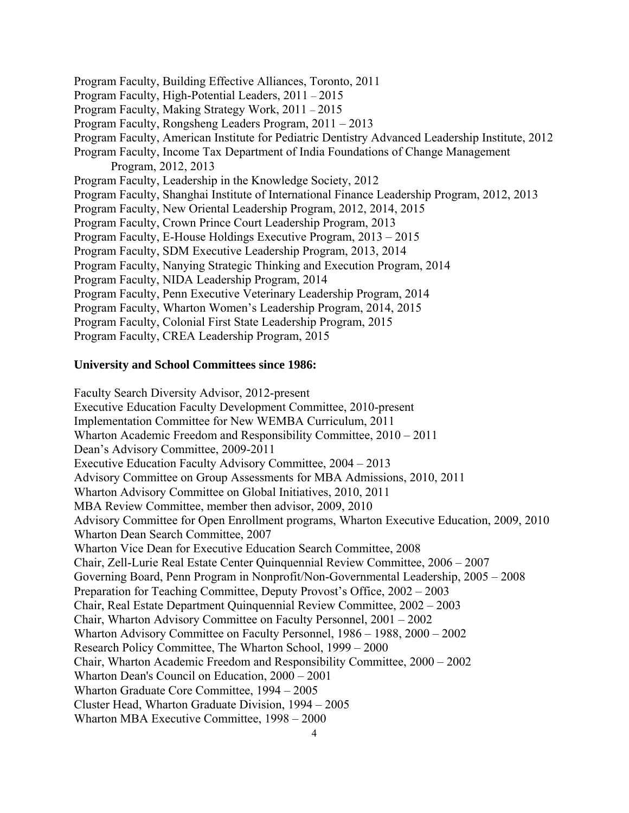Program Faculty, Building Effective Alliances, Toronto, 2011 Program Faculty, High-Potential Leaders, 2011 – 2015 Program Faculty, Making Strategy Work, 2011 – 2015 Program Faculty, Rongsheng Leaders Program, 2011 – 2013 Program Faculty, American Institute for Pediatric Dentistry Advanced Leadership Institute, 2012 Program Faculty, Income Tax Department of India Foundations of Change Management Program, 2012, 2013 Program Faculty, Leadership in the Knowledge Society, 2012 Program Faculty, Shanghai Institute of International Finance Leadership Program, 2012, 2013 Program Faculty, New Oriental Leadership Program, 2012, 2014, 2015 Program Faculty, Crown Prince Court Leadership Program, 2013 Program Faculty, E-House Holdings Executive Program, 2013 – 2015 Program Faculty, SDM Executive Leadership Program, 2013, 2014 Program Faculty, Nanying Strategic Thinking and Execution Program, 2014 Program Faculty, NIDA Leadership Program, 2014 Program Faculty, Penn Executive Veterinary Leadership Program, 2014 Program Faculty, Wharton Women's Leadership Program, 2014, 2015 Program Faculty, Colonial First State Leadership Program, 2015 Program Faculty, CREA Leadership Program, 2015

#### **University and School Committees since 1986:**

 Faculty Search Diversity Advisor, 2012-present Executive Education Faculty Development Committee, 2010-present Implementation Committee for New WEMBA Curriculum, 2011 Wharton Academic Freedom and Responsibility Committee, 2010 – 2011 Dean's Advisory Committee, 2009-2011 Executive Education Faculty Advisory Committee, 2004 – 2013 Advisory Committee on Group Assessments for MBA Admissions, 2010, 2011 Wharton Advisory Committee on Global Initiatives, 2010, 2011 MBA Review Committee, member then advisor, 2009, 2010 Advisory Committee for Open Enrollment programs, Wharton Executive Education, 2009, 2010 Wharton Dean Search Committee, 2007 Wharton Vice Dean for Executive Education Search Committee, 2008 Chair, Zell-Lurie Real Estate Center Quinquennial Review Committee, 2006 – 2007 Governing Board, Penn Program in Nonprofit/Non-Governmental Leadership, 2005 – 2008 Preparation for Teaching Committee, Deputy Provost's Office, 2002 – 2003 Chair, Real Estate Department Quinquennial Review Committee, 2002 – 2003 Chair, Wharton Advisory Committee on Faculty Personnel, 2001 – 2002 Wharton Advisory Committee on Faculty Personnel, 1986 – 1988, 2000 – 2002 Research Policy Committee, The Wharton School, 1999 – 2000 Chair, Wharton Academic Freedom and Responsibility Committee, 2000 – 2002 Wharton Dean's Council on Education, 2000 – 2001 Wharton Graduate Core Committee, 1994 – 2005 Cluster Head, Wharton Graduate Division, 1994 – 2005 Wharton MBA Executive Committee, 1998 – 2000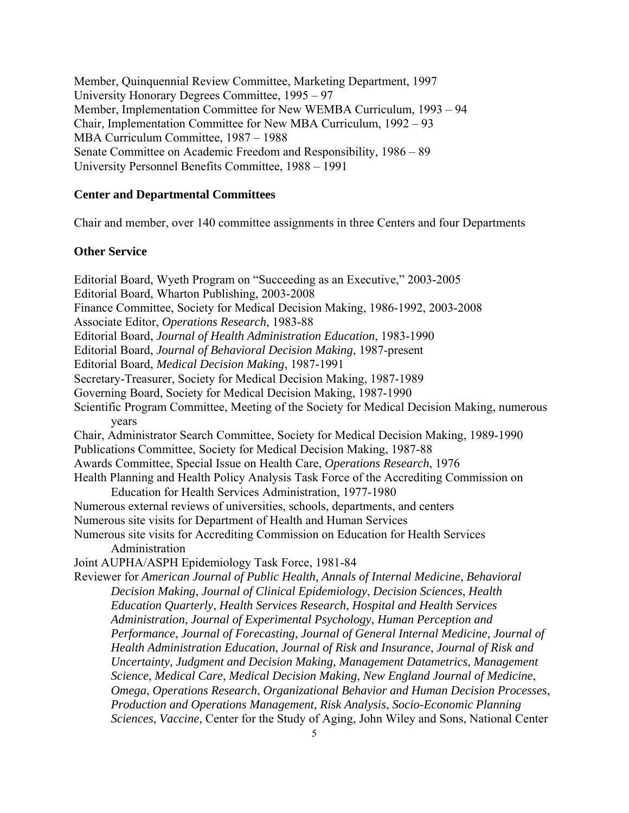Member, Quinquennial Review Committee, Marketing Department, 1997 University Honorary Degrees Committee, 1995 – 97 Member, Implementation Committee for New WEMBA Curriculum, 1993 – 94 Chair, Implementation Committee for New MBA Curriculum, 1992 – 93 MBA Curriculum Committee, 1987 – 1988 Senate Committee on Academic Freedom and Responsibility, 1986 – 89 University Personnel Benefits Committee, 1988 – 1991

## **Center and Departmental Committees**

Chair and member, over 140 committee assignments in three Centers and four Departments

## **Other Service**

Editorial Board, Wyeth Program on "Succeeding as an Executive," 2003-2005 Editorial Board, Wharton Publishing, 2003-2008 Finance Committee, Society for Medical Decision Making, 1986-1992, 2003-2008 Associate Editor, *Operations Research*, 1983-88 Editorial Board, *Journal of Health Administration Education*, 1983-1990 Editorial Board, *Journal of Behavioral Decision Making*, 1987-present Editorial Board, *Medical Decision Making*, 1987-1991 Secretary-Treasurer, Society for Medical Decision Making, 1987-1989 Governing Board, Society for Medical Decision Making, 1987-1990 Scientific Program Committee, Meeting of the Society for Medical Decision Making, numerous years Chair, Administrator Search Committee, Society for Medical Decision Making, 1989-1990 Publications Committee, Society for Medical Decision Making, 1987-88 Awards Committee, Special Issue on Health Care, *Operations Research*, 1976 Health Planning and Health Policy Analysis Task Force of the Accrediting Commission on Education for Health Services Administration, 1977-1980 Numerous external reviews of universities, schools, departments, and centers Numerous site visits for Department of Health and Human Services Numerous site visits for Accrediting Commission on Education for Health Services Administration Joint AUPHA/ASPH Epidemiology Task Force, 1981-84 Reviewer for *American Journal of Public Health, Annals of Internal Medicine*, *Behavioral Decision Making*, *Journal of Clinical Epidemiology*, *Decision Sciences*, *Health Education Quarterly*, *Health Services Research*, *Hospital and Health Services Administration*, *Journal of Experimental Psychology*, *Human Perception and Performance*, *Journal of Forecasting, Journal of General Internal Medicine, Journal of Health Administration Education*, *Journal of Risk and Insurance*, *Journal of Risk and Uncertainty, Judgment and Decision Making, Management Datametrics*, *Management Science*, *Medical Care*, *Medical Decision Making*, *New England Journal of Medicine*, *Omega*, *Operations Research*, *Organizational Behavior and Human Decision Processes*, *Production and Operations Management, Risk Analysis*, *Socio-Economic Planning Sciences, Vaccine,* Center for the Study of Aging, John Wiley and Sons, National Center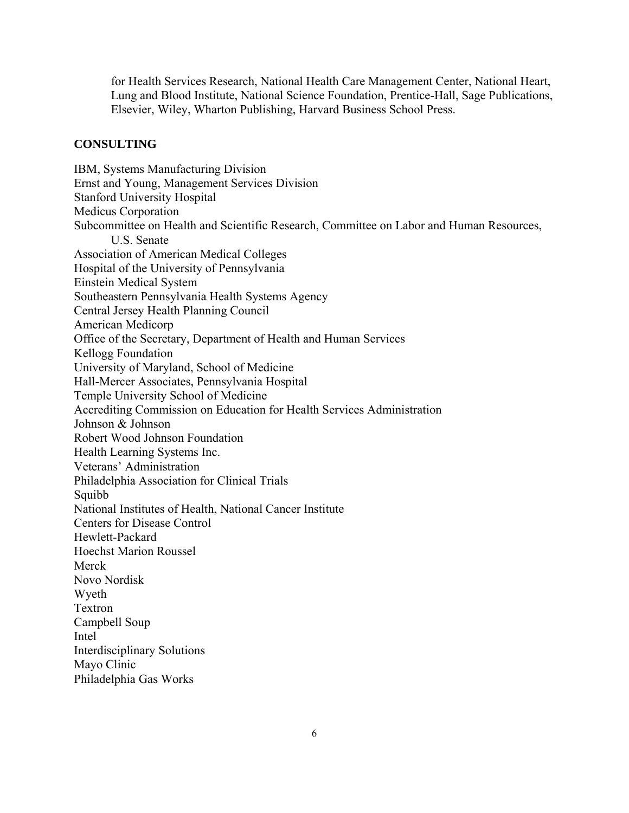for Health Services Research, National Health Care Management Center, National Heart, Lung and Blood Institute, National Science Foundation, Prentice-Hall, Sage Publications, Elsevier, Wiley, Wharton Publishing, Harvard Business School Press.

#### **CONSULTING**

IBM, Systems Manufacturing Division Ernst and Young, Management Services Division Stanford University Hospital Medicus Corporation Subcommittee on Health and Scientific Research, Committee on Labor and Human Resources, U.S. Senate Association of American Medical Colleges Hospital of the University of Pennsylvania Einstein Medical System Southeastern Pennsylvania Health Systems Agency Central Jersey Health Planning Council American Medicorp Office of the Secretary, Department of Health and Human Services Kellogg Foundation University of Maryland, School of Medicine Hall-Mercer Associates, Pennsylvania Hospital Temple University School of Medicine Accrediting Commission on Education for Health Services Administration Johnson & Johnson Robert Wood Johnson Foundation Health Learning Systems Inc. Veterans' Administration Philadelphia Association for Clinical Trials **Squibb** National Institutes of Health, National Cancer Institute Centers for Disease Control Hewlett-Packard Hoechst Marion Roussel Merck Novo Nordisk Wyeth Textron Campbell Soup Intel Interdisciplinary Solutions Mayo Clinic Philadelphia Gas Works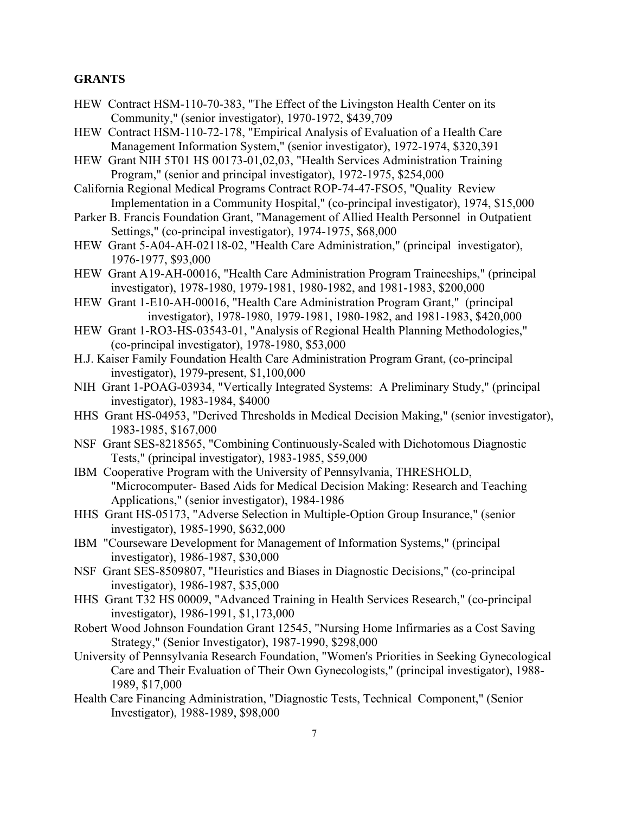## **GRANTS**

- HEW Contract HSM-110-70-383, "The Effect of the Livingston Health Center on its Community," (senior investigator), 1970-1972, \$439,709
- HEW Contract HSM-110-72-178, "Empirical Analysis of Evaluation of a Health Care Management Information System," (senior investigator), 1972-1974, \$320,391
- HEW Grant NIH 5T01 HS 00173-01,02,03, "Health Services Administration Training Program," (senior and principal investigator), 1972-1975, \$254,000
- California Regional Medical Programs Contract ROP-74-47-FSO5, "Quality Review Implementation in a Community Hospital," (co-principal investigator), 1974, \$15,000
- Parker B. Francis Foundation Grant, "Management of Allied Health Personnel in Outpatient Settings," (co-principal investigator), 1974-1975, \$68,000
- HEW Grant 5-A04-AH-02118-02, "Health Care Administration," (principal investigator), 1976-1977, \$93,000
- HEW Grant A19-AH-00016, "Health Care Administration Program Traineeships," (principal investigator), 1978-1980, 1979-1981, 1980-1982, and 1981-1983, \$200,000
- HEW Grant 1-E10-AH-00016, "Health Care Administration Program Grant," (principal investigator), 1978-1980, 1979-1981, 1980-1982, and 1981-1983, \$420,000
- HEW Grant 1-RO3-HS-03543-01, "Analysis of Regional Health Planning Methodologies," (co-principal investigator), 1978-1980, \$53,000
- H.J. Kaiser Family Foundation Health Care Administration Program Grant, (co-principal investigator), 1979-present, \$1,100,000
- NIH Grant 1-POAG-03934, "Vertically Integrated Systems: A Preliminary Study," (principal investigator), 1983-1984, \$4000
- HHS Grant HS-04953, "Derived Thresholds in Medical Decision Making," (senior investigator), 1983-1985, \$167,000
- NSF Grant SES-8218565, "Combining Continuously-Scaled with Dichotomous Diagnostic Tests," (principal investigator), 1983-1985, \$59,000
- IBM Cooperative Program with the University of Pennsylvania, THRESHOLD, "Microcomputer- Based Aids for Medical Decision Making: Research and Teaching Applications," (senior investigator), 1984-1986
- HHS Grant HS-05173, "Adverse Selection in Multiple-Option Group Insurance," (senior investigator), 1985-1990, \$632,000
- IBM "Courseware Development for Management of Information Systems," (principal investigator), 1986-1987, \$30,000
- NSF Grant SES-8509807, "Heuristics and Biases in Diagnostic Decisions," (co-principal investigator), 1986-1987, \$35,000
- HHS Grant T32 HS 00009, "Advanced Training in Health Services Research," (co-principal investigator), 1986-1991, \$1,173,000
- Robert Wood Johnson Foundation Grant 12545, "Nursing Home Infirmaries as a Cost Saving Strategy," (Senior Investigator), 1987-1990, \$298,000
- University of Pennsylvania Research Foundation, "Women's Priorities in Seeking Gynecological Care and Their Evaluation of Their Own Gynecologists," (principal investigator), 1988- 1989, \$17,000
- Health Care Financing Administration, "Diagnostic Tests, Technical Component," (Senior Investigator), 1988-1989, \$98,000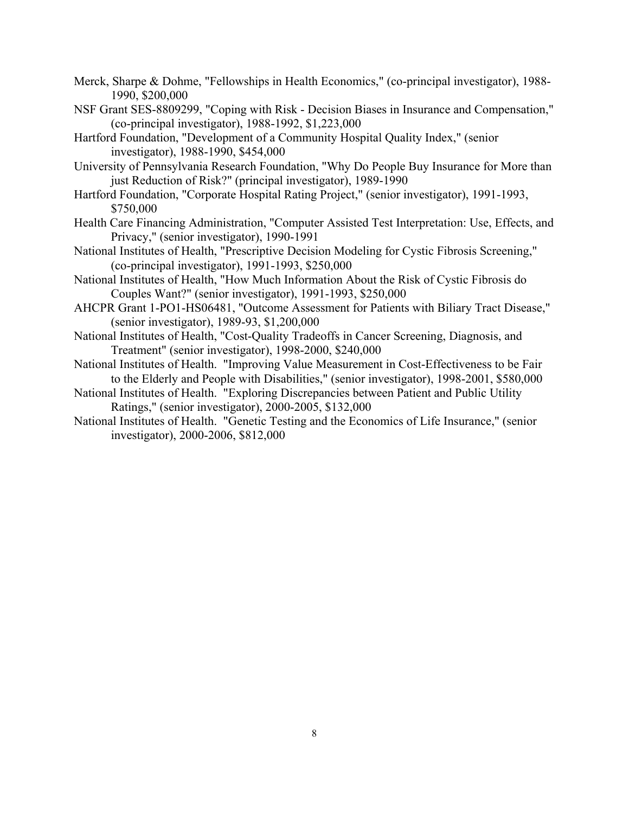- Merck, Sharpe & Dohme, "Fellowships in Health Economics," (co-principal investigator), 1988- 1990, \$200,000
- NSF Grant SES-8809299, "Coping with Risk Decision Biases in Insurance and Compensation," (co-principal investigator), 1988-1992, \$1,223,000
- Hartford Foundation, "Development of a Community Hospital Quality Index," (senior investigator), 1988-1990, \$454,000
- University of Pennsylvania Research Foundation, "Why Do People Buy Insurance for More than just Reduction of Risk?" (principal investigator), 1989-1990
- Hartford Foundation, "Corporate Hospital Rating Project," (senior investigator), 1991-1993, \$750,000
- Health Care Financing Administration, "Computer Assisted Test Interpretation: Use, Effects, and Privacy," (senior investigator), 1990-1991
- National Institutes of Health, "Prescriptive Decision Modeling for Cystic Fibrosis Screening," (co-principal investigator), 1991-1993, \$250,000
- National Institutes of Health, "How Much Information About the Risk of Cystic Fibrosis do Couples Want?" (senior investigator), 1991-1993, \$250,000
- AHCPR Grant 1-PO1-HS06481, "Outcome Assessment for Patients with Biliary Tract Disease," (senior investigator), 1989-93, \$1,200,000
- National Institutes of Health, "Cost-Quality Tradeoffs in Cancer Screening, Diagnosis, and Treatment" (senior investigator), 1998-2000, \$240,000
- National Institutes of Health. "Improving Value Measurement in Cost-Effectiveness to be Fair to the Elderly and People with Disabilities," (senior investigator), 1998-2001, \$580,000
- National Institutes of Health. "Exploring Discrepancies between Patient and Public Utility Ratings," (senior investigator), 2000-2005, \$132,000
- National Institutes of Health. "Genetic Testing and the Economics of Life Insurance," (senior investigator), 2000-2006, \$812,000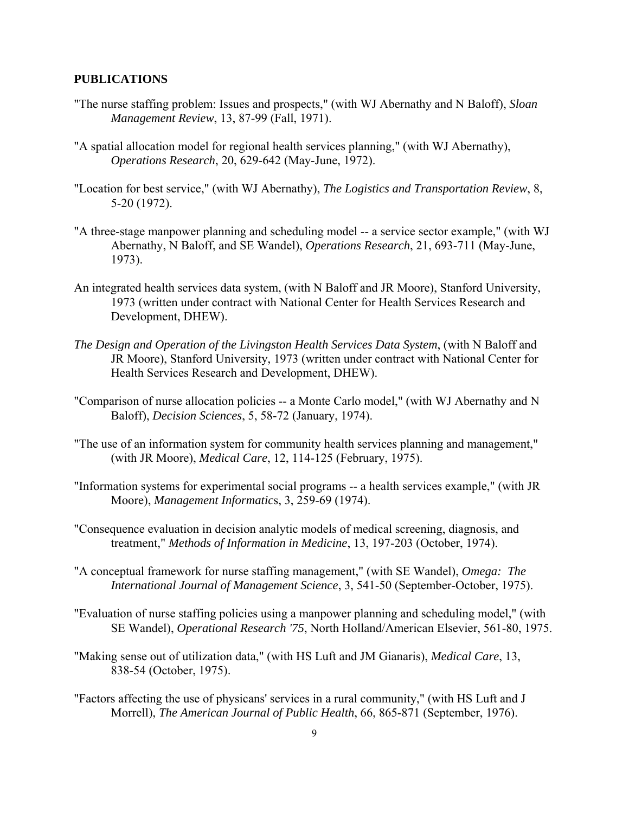## **PUBLICATIONS**

- "The nurse staffing problem: Issues and prospects," (with WJ Abernathy and N Baloff), *Sloan Management Review*, 13, 87-99 (Fall, 1971).
- "A spatial allocation model for regional health services planning," (with WJ Abernathy), *Operations Research*, 20, 629-642 (May-June, 1972).
- "Location for best service," (with WJ Abernathy), *The Logistics and Transportation Review*, 8, 5-20 (1972).
- "A three-stage manpower planning and scheduling model -- a service sector example," (with WJ Abernathy, N Baloff, and SE Wandel), *Operations Research*, 21, 693-711 (May-June, 1973).
- An integrated health services data system, (with N Baloff and JR Moore), Stanford University, 1973 (written under contract with National Center for Health Services Research and Development, DHEW).
- *The Design and Operation of the Livingston Health Services Data System*, (with N Baloff and JR Moore), Stanford University, 1973 (written under contract with National Center for Health Services Research and Development, DHEW).
- "Comparison of nurse allocation policies -- a Monte Carlo model," (with WJ Abernathy and N Baloff), *Decision Sciences*, 5, 58-72 (January, 1974).
- "The use of an information system for community health services planning and management," (with JR Moore), *Medical Care*, 12, 114-125 (February, 1975).
- "Information systems for experimental social programs -- a health services example," (with JR Moore), *Management Informatic*s, 3, 259-69 (1974).
- "Consequence evaluation in decision analytic models of medical screening, diagnosis, and treatment," *Methods of Information in Medicine*, 13, 197-203 (October, 1974).
- "A conceptual framework for nurse staffing management," (with SE Wandel), *Omega: The International Journal of Management Science*, 3, 541-50 (September-October, 1975).
- "Evaluation of nurse staffing policies using a manpower planning and scheduling model," (with SE Wandel), *Operational Research '75*, North Holland/American Elsevier, 561-80, 1975.
- "Making sense out of utilization data," (with HS Luft and JM Gianaris), *Medical Care*, 13, 838-54 (October, 1975).
- "Factors affecting the use of physicans' services in a rural community," (with HS Luft and J Morrell), *The American Journal of Public Health*, 66, 865-871 (September, 1976).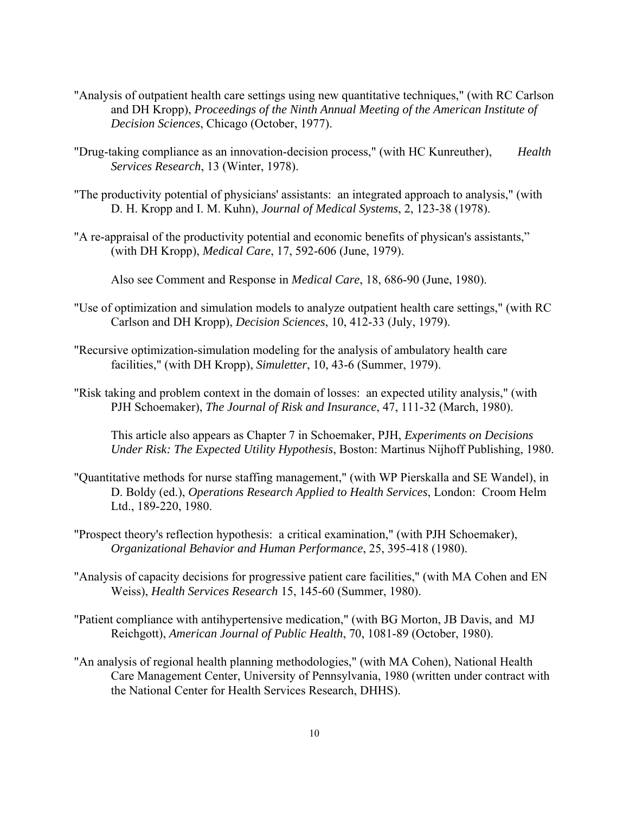- "Analysis of outpatient health care settings using new quantitative techniques," (with RC Carlson and DH Kropp), *Proceedings of the Ninth Annual Meeting of the American Institute of Decision Sciences*, Chicago (October, 1977).
- "Drug-taking compliance as an innovation-decision process," (with HC Kunreuther), *Health Services Research*, 13 (Winter, 1978).
- "The productivity potential of physicians' assistants: an integrated approach to analysis," (with D. H. Kropp and I. M. Kuhn), *Journal of Medical Systems*, 2, 123-38 (1978).
- "A re-appraisal of the productivity potential and economic benefits of physican's assistants," (with DH Kropp), *Medical Care*, 17, 592-606 (June, 1979).

Also see Comment and Response in *Medical Care*, 18, 686-90 (June, 1980).

- "Use of optimization and simulation models to analyze outpatient health care settings," (with RC Carlson and DH Kropp), *Decision Sciences*, 10, 412-33 (July, 1979).
- "Recursive optimization-simulation modeling for the analysis of ambulatory health care facilities," (with DH Kropp), *Simuletter*, 10, 43-6 (Summer, 1979).
- "Risk taking and problem context in the domain of losses: an expected utility analysis," (with PJH Schoemaker), *The Journal of Risk and Insurance*, 47, 111-32 (March, 1980).

 This article also appears as Chapter 7 in Schoemaker, PJH, *Experiments on Decisions Under Risk: The Expected Utility Hypothesis*, Boston: Martinus Nijhoff Publishing, 1980.

- "Quantitative methods for nurse staffing management," (with WP Pierskalla and SE Wandel), in D. Boldy (ed.), *Operations Research Applied to Health Services*, London: Croom Helm Ltd., 189-220, 1980.
- "Prospect theory's reflection hypothesis: a critical examination," (with PJH Schoemaker), *Organizational Behavior and Human Performance*, 25, 395-418 (1980).
- "Analysis of capacity decisions for progressive patient care facilities," (with MA Cohen and EN Weiss), *Health Services Research* 15, 145-60 (Summer, 1980).
- "Patient compliance with antihypertensive medication," (with BG Morton, JB Davis, and MJ Reichgott), *American Journal of Public Health*, 70, 1081-89 (October, 1980).
- "An analysis of regional health planning methodologies," (with MA Cohen), National Health Care Management Center, University of Pennsylvania, 1980 (written under contract with the National Center for Health Services Research, DHHS).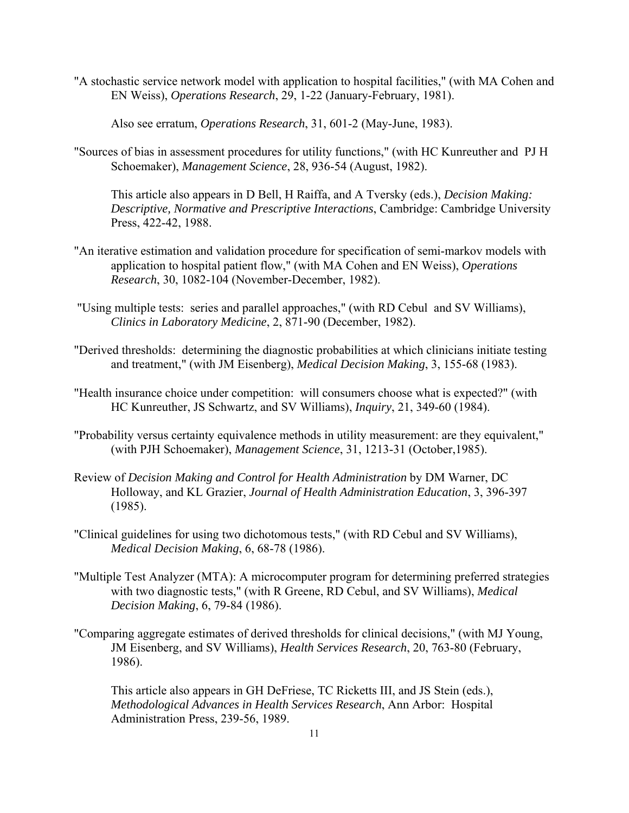"A stochastic service network model with application to hospital facilities," (with MA Cohen and EN Weiss), *Operations Research*, 29, 1-22 (January-February, 1981).

Also see erratum, *Operations Research*, 31, 601-2 (May-June, 1983).

"Sources of bias in assessment procedures for utility functions," (with HC Kunreuther and PJ H Schoemaker), *Management Science*, 28, 936-54 (August, 1982).

 This article also appears in D Bell, H Raiffa, and A Tversky (eds.), *Decision Making: Descriptive, Normative and Prescriptive Interactions*, Cambridge: Cambridge University Press, 422-42, 1988.

- "An iterative estimation and validation procedure for specification of semi-markov models with application to hospital patient flow," (with MA Cohen and EN Weiss), *Operations Research*, 30, 1082-104 (November-December, 1982).
- "Using multiple tests: series and parallel approaches," (with RD Cebul and SV Williams), *Clinics in Laboratory Medicine*, 2, 871-90 (December, 1982).
- "Derived thresholds: determining the diagnostic probabilities at which clinicians initiate testing and treatment," (with JM Eisenberg), *Medical Decision Making*, 3, 155-68 (1983).
- "Health insurance choice under competition: will consumers choose what is expected?" (with HC Kunreuther, JS Schwartz, and SV Williams), *Inquiry*, 21, 349-60 (1984).
- "Probability versus certainty equivalence methods in utility measurement: are they equivalent," (with PJH Schoemaker), *Management Science*, 31, 1213-31 (October,1985).
- Review of *Decision Making and Control for Health Administration* by DM Warner, DC Holloway, and KL Grazier, *Journal of Health Administration Education*, 3, 396-397 (1985).
- "Clinical guidelines for using two dichotomous tests," (with RD Cebul and SV Williams), *Medical Decision Making*, 6, 68-78 (1986).
- "Multiple Test Analyzer (MTA): A microcomputer program for determining preferred strategies with two diagnostic tests," (with R Greene, RD Cebul, and SV Williams), *Medical Decision Making*, 6, 79-84 (1986).
- "Comparing aggregate estimates of derived thresholds for clinical decisions," (with MJ Young, JM Eisenberg, and SV Williams), *Health Services Research*, 20, 763-80 (February, 1986).

 This article also appears in GH DeFriese, TC Ricketts III, and JS Stein (eds.), *Methodological Advances in Health Services Research*, Ann Arbor: Hospital Administration Press, 239-56, 1989.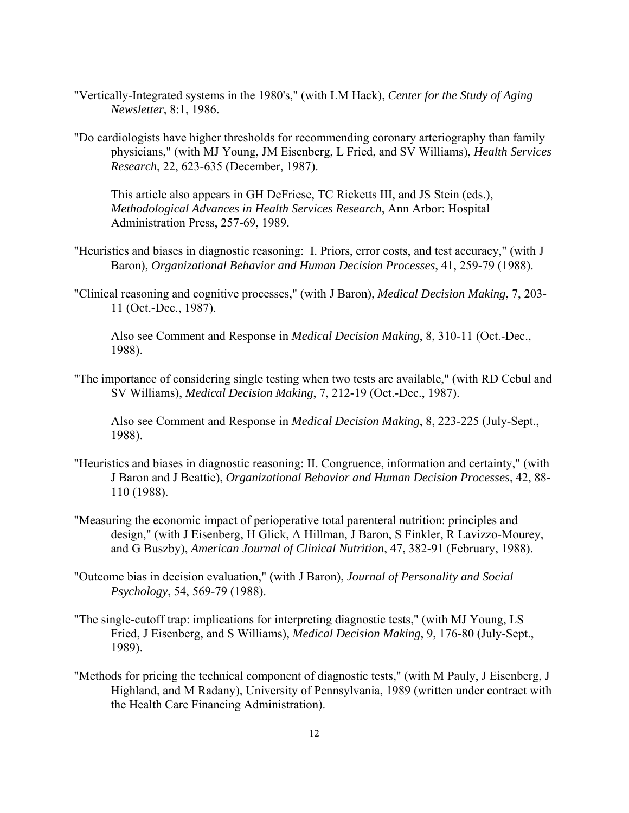- "Vertically-Integrated systems in the 1980's," (with LM Hack), *Center for the Study of Aging Newsletter*, 8:1, 1986.
- "Do cardiologists have higher thresholds for recommending coronary arteriography than family physicians," (with MJ Young, JM Eisenberg, L Fried, and SV Williams), *Health Services Research*, 22, 623-635 (December, 1987).

 This article also appears in GH DeFriese, TC Ricketts III, and JS Stein (eds.), *Methodological Advances in Health Services Research*, Ann Arbor: Hospital Administration Press, 257-69, 1989.

- "Heuristics and biases in diagnostic reasoning: I. Priors, error costs, and test accuracy," (with J Baron), *Organizational Behavior and Human Decision Processes*, 41, 259-79 (1988).
- "Clinical reasoning and cognitive processes," (with J Baron), *Medical Decision Making*, 7, 203- 11 (Oct.-Dec., 1987).

 Also see Comment and Response in *Medical Decision Making*, 8, 310-11 (Oct.-Dec., 1988).

"The importance of considering single testing when two tests are available," (with RD Cebul and SV Williams), *Medical Decision Making*, 7, 212-19 (Oct.-Dec., 1987).

 Also see Comment and Response in *Medical Decision Making*, 8, 223-225 (July-Sept., 1988).

- "Heuristics and biases in diagnostic reasoning: II. Congruence, information and certainty," (with J Baron and J Beattie), *Organizational Behavior and Human Decision Processes*, 42, 88- 110 (1988).
- "Measuring the economic impact of perioperative total parenteral nutrition: principles and design," (with J Eisenberg, H Glick, A Hillman, J Baron, S Finkler, R Lavizzo-Mourey, and G Buszby), *American Journal of Clinical Nutrition*, 47, 382-91 (February, 1988).
- "Outcome bias in decision evaluation," (with J Baron), *Journal of Personality and Social Psychology*, 54, 569-79 (1988).
- "The single-cutoff trap: implications for interpreting diagnostic tests," (with MJ Young, LS Fried, J Eisenberg, and S Williams), *Medical Decision Making*, 9, 176-80 (July-Sept., 1989).
- "Methods for pricing the technical component of diagnostic tests," (with M Pauly, J Eisenberg, J Highland, and M Radany), University of Pennsylvania, 1989 (written under contract with the Health Care Financing Administration).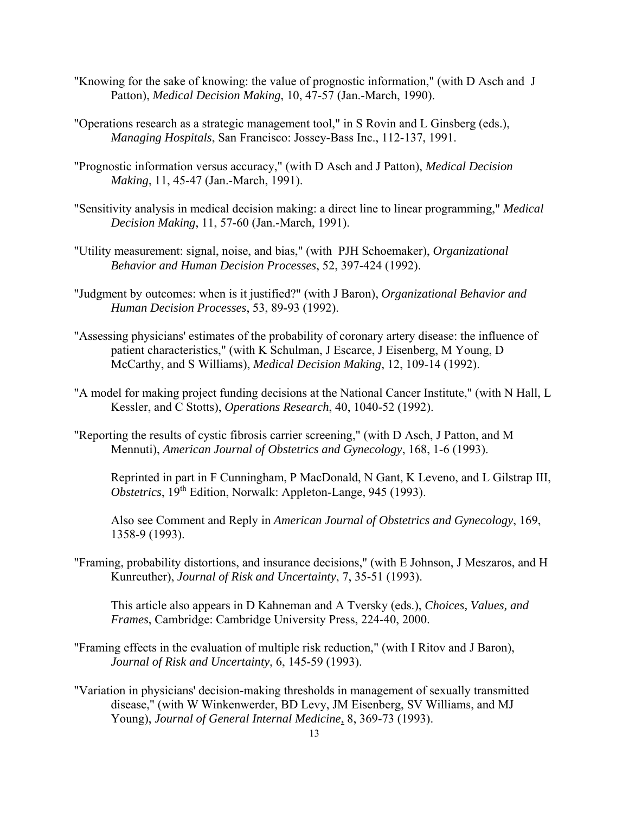- "Knowing for the sake of knowing: the value of prognostic information," (with D Asch and J Patton), *Medical Decision Making*, 10, 47-57 (Jan.-March, 1990).
- "Operations research as a strategic management tool," in S Rovin and L Ginsberg (eds.), *Managing Hospitals*, San Francisco: Jossey-Bass Inc., 112-137, 1991.
- "Prognostic information versus accuracy," (with D Asch and J Patton), *Medical Decision Making*, 11, 45-47 (Jan.-March, 1991).
- "Sensitivity analysis in medical decision making: a direct line to linear programming," *Medical Decision Making*, 11, 57-60 (Jan.-March, 1991).
- "Utility measurement: signal, noise, and bias," (with PJH Schoemaker), *Organizational Behavior and Human Decision Processes*, 52, 397-424 (1992).
- "Judgment by outcomes: when is it justified?" (with J Baron), *Organizational Behavior and Human Decision Processes*, 53, 89-93 (1992).
- "Assessing physicians' estimates of the probability of coronary artery disease: the influence of patient characteristics," (with K Schulman, J Escarce, J Eisenberg, M Young, D McCarthy, and S Williams), *Medical Decision Making*, 12, 109-14 (1992).
- "A model for making project funding decisions at the National Cancer Institute," (with N Hall, L Kessler, and C Stotts), *Operations Research*, 40, 1040-52 (1992).
- "Reporting the results of cystic fibrosis carrier screening," (with D Asch, J Patton, and M Mennuti), *American Journal of Obstetrics and Gynecology*, 168, 1-6 (1993).

 Reprinted in part in F Cunningham, P MacDonald, N Gant, K Leveno, and L Gilstrap III, *Obstetrics*, 19<sup>th</sup> Edition, Norwalk: Appleton-Lange, 945 (1993).

 Also see Comment and Reply in *American Journal of Obstetrics and Gynecology*, 169, 1358-9 (1993).

"Framing, probability distortions, and insurance decisions," (with E Johnson, J Meszaros, and H Kunreuther), *Journal of Risk and Uncertainty*, 7, 35-51 (1993).

This article also appears in D Kahneman and A Tversky (eds.), *Choices, Values, and Frames*, Cambridge: Cambridge University Press, 224-40, 2000.

- "Framing effects in the evaluation of multiple risk reduction," (with I Ritov and J Baron), *Journal of Risk and Uncertainty*, 6, 145-59 (1993).
- "Variation in physicians' decision-making thresholds in management of sexually transmitted disease," (with W Winkenwerder, BD Levy, JM Eisenberg, SV Williams, and MJ Young), *Journal of General Internal Medicine*, 8, 369-73 (1993).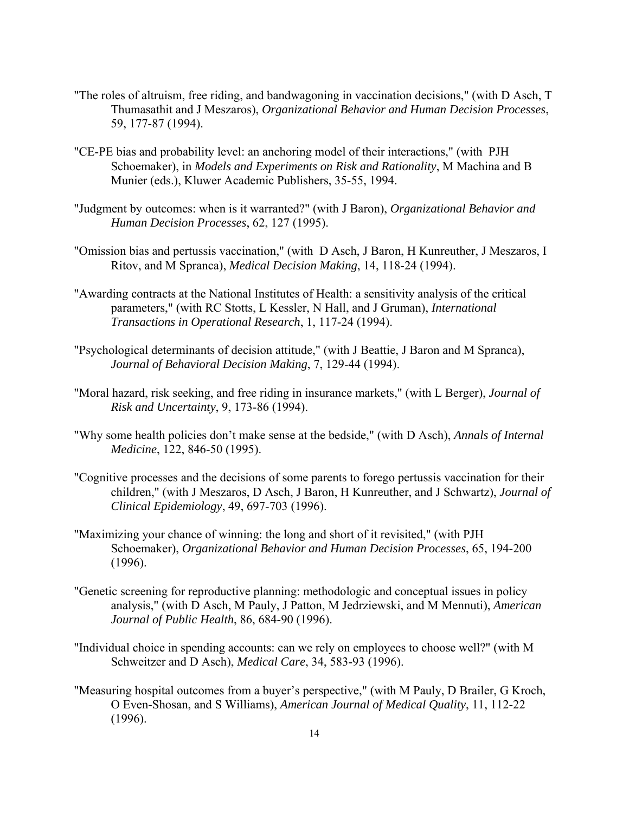- "The roles of altruism, free riding, and bandwagoning in vaccination decisions," (with D Asch, T Thumasathit and J Meszaros), *Organizational Behavior and Human Decision Processes*, 59, 177-87 (1994).
- "CE-PE bias and probability level: an anchoring model of their interactions," (with PJH Schoemaker), in *Models and Experiments on Risk and Rationality*, M Machina and B Munier (eds.), Kluwer Academic Publishers, 35-55, 1994.
- "Judgment by outcomes: when is it warranted?" (with J Baron), *Organizational Behavior and Human Decision Processes*, 62, 127 (1995).
- "Omission bias and pertussis vaccination," (with D Asch, J Baron, H Kunreuther, J Meszaros, I Ritov, and M Spranca), *Medical Decision Making*, 14, 118-24 (1994).
- "Awarding contracts at the National Institutes of Health: a sensitivity analysis of the critical parameters," (with RC Stotts, L Kessler, N Hall, and J Gruman), *International Transactions in Operational Research*, 1, 117-24 (1994).
- "Psychological determinants of decision attitude," (with J Beattie, J Baron and M Spranca), *Journal of Behavioral Decision Making*, 7, 129-44 (1994).
- "Moral hazard, risk seeking, and free riding in insurance markets," (with L Berger), *Journal of Risk and Uncertainty*, 9, 173-86 (1994).
- "Why some health policies don't make sense at the bedside," (with D Asch), *Annals of Internal Medicine*, 122, 846-50 (1995).
- "Cognitive processes and the decisions of some parents to forego pertussis vaccination for their children," (with J Meszaros, D Asch, J Baron, H Kunreuther, and J Schwartz), *Journal of Clinical Epidemiology*, 49, 697-703 (1996).
- "Maximizing your chance of winning: the long and short of it revisited," (with PJH Schoemaker), *Organizational Behavior and Human Decision Processes*, 65, 194-200 (1996).
- "Genetic screening for reproductive planning: methodologic and conceptual issues in policy analysis," (with D Asch, M Pauly, J Patton, M Jedrziewski, and M Mennuti), *American Journal of Public Health*, 86, 684-90 (1996).
- "Individual choice in spending accounts: can we rely on employees to choose well?" (with M Schweitzer and D Asch), *Medical Care*, 34, 583-93 (1996).
- "Measuring hospital outcomes from a buyer's perspective," (with M Pauly, D Brailer, G Kroch, O Even-Shosan, and S Williams), *American Journal of Medical Quality*, 11, 112-22 (1996).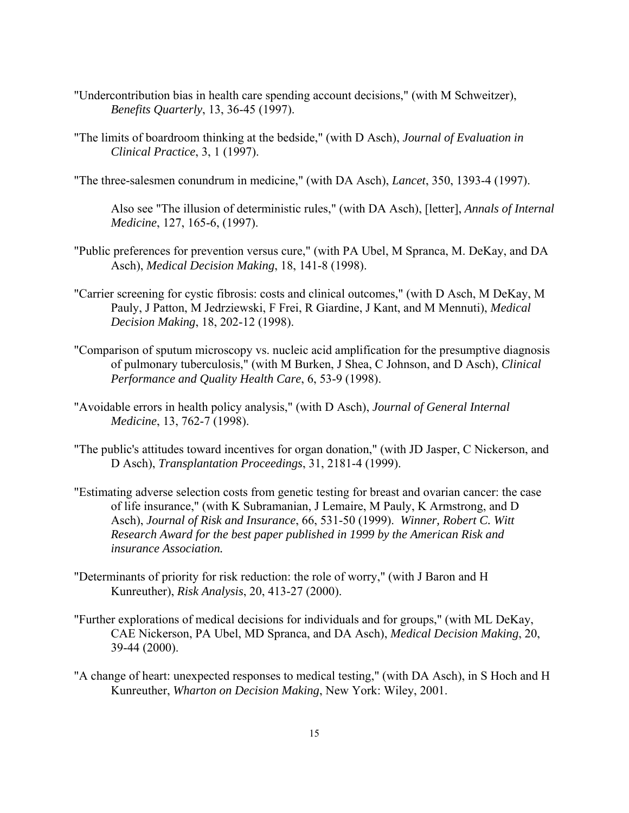- "Undercontribution bias in health care spending account decisions," (with M Schweitzer), *Benefits Quarterly*, 13, 36-45 (1997).
- "The limits of boardroom thinking at the bedside," (with D Asch), *Journal of Evaluation in Clinical Practice*, 3, 1 (1997).
- "The three-salesmen conundrum in medicine," (with DA Asch), *Lancet*, 350, 1393-4 (1997).

 Also see "The illusion of deterministic rules," (with DA Asch), [letter], *Annals of Internal Medicine*, 127, 165-6, (1997).

- "Public preferences for prevention versus cure," (with PA Ubel, M Spranca, M. DeKay, and DA Asch), *Medical Decision Making*, 18, 141-8 (1998).
- "Carrier screening for cystic fibrosis: costs and clinical outcomes," (with D Asch, M DeKay, M Pauly, J Patton, M Jedrziewski, F Frei, R Giardine, J Kant, and M Mennuti), *Medical Decision Making*, 18, 202-12 (1998).
- "Comparison of sputum microscopy vs. nucleic acid amplification for the presumptive diagnosis of pulmonary tuberculosis," (with M Burken, J Shea, C Johnson, and D Asch), *Clinical Performance and Quality Health Care*, 6, 53-9 (1998).
- "Avoidable errors in health policy analysis," (with D Asch), *Journal of General Internal Medicine*, 13, 762-7 (1998).
- "The public's attitudes toward incentives for organ donation," (with JD Jasper, C Nickerson, and D Asch), *Transplantation Proceedings*, 31, 2181-4 (1999).
- "Estimating adverse selection costs from genetic testing for breast and ovarian cancer: the case of life insurance," (with K Subramanian, J Lemaire, M Pauly, K Armstrong, and D Asch), *Journal of Risk and Insurance*, 66, 531-50 (1999). *Winner, Robert C. Witt Research Award for the best paper published in 1999 by the American Risk and insurance Association.*
- "Determinants of priority for risk reduction: the role of worry," (with J Baron and H Kunreuther), *Risk Analysis*, 20, 413-27 (2000).
- "Further explorations of medical decisions for individuals and for groups," (with ML DeKay, CAE Nickerson, PA Ubel, MD Spranca, and DA Asch), *Medical Decision Making*, 20, 39-44 (2000).
- "A change of heart: unexpected responses to medical testing," (with DA Asch), in S Hoch and H Kunreuther, *Wharton on Decision Making*, New York: Wiley, 2001.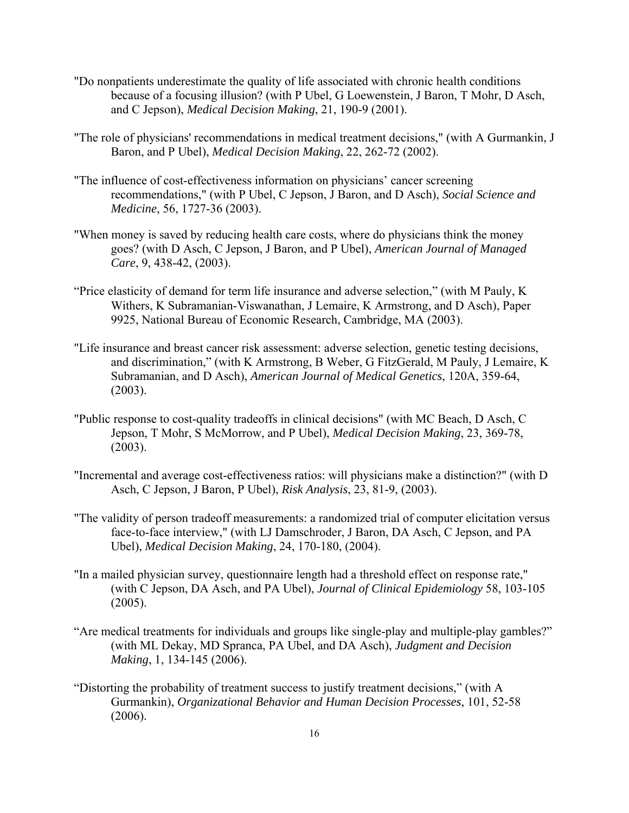- "Do nonpatients underestimate the quality of life associated with chronic health conditions because of a focusing illusion? (with P Ubel, G Loewenstein, J Baron, T Mohr, D Asch, and C Jepson), *Medical Decision Making*, 21, 190-9 (2001).
- "The role of physicians' recommendations in medical treatment decisions," (with A Gurmankin, J Baron, and P Ubel), *Medical Decision Making*, 22, 262-72 (2002).
- "The influence of cost-effectiveness information on physicians' cancer screening recommendations," (with P Ubel, C Jepson, J Baron, and D Asch), *Social Science and Medicine*, 56, 1727-36 (2003).
- "When money is saved by reducing health care costs, where do physicians think the money goes? (with D Asch, C Jepson, J Baron, and P Ubel), *American Journal of Managed Care*, 9, 438-42, (2003).
- "Price elasticity of demand for term life insurance and adverse selection," (with M Pauly, K Withers, K Subramanian-Viswanathan, J Lemaire, K Armstrong, and D Asch), Paper 9925, National Bureau of Economic Research, Cambridge, MA (2003).
- "Life insurance and breast cancer risk assessment: adverse selection, genetic testing decisions, and discrimination," (with K Armstrong, B Weber, G FitzGerald, M Pauly, J Lemaire, K Subramanian, and D Asch), *American Journal of Medical Genetics*, 120A, 359-64, (2003).
- "Public response to cost-quality tradeoffs in clinical decisions" (with MC Beach, D Asch, C Jepson, T Mohr, S McMorrow, and P Ubel), *Medical Decision Making*, 23, 369-78, (2003).
- "Incremental and average cost-effectiveness ratios: will physicians make a distinction?" (with D Asch, C Jepson, J Baron, P Ubel), *Risk Analysis*, 23, 81-9, (2003).
- "The validity of person tradeoff measurements: a randomized trial of computer elicitation versus face-to-face interview," (with LJ Damschroder, J Baron, DA Asch, C Jepson, and PA Ubel), *Medical Decision Making*, 24, 170-180, (2004).
- "In a mailed physician survey, questionnaire length had a threshold effect on response rate," (with C Jepson, DA Asch, and PA Ubel), *Journal of Clinical Epidemiology* 58, 103-105  $(2005)$ .
- "Are medical treatments for individuals and groups like single-play and multiple-play gambles?" (with ML Dekay, MD Spranca, PA Ubel, and DA Asch), *Judgment and Decision Making*, 1, 134-145 (2006).
- "Distorting the probability of treatment success to justify treatment decisions," (with A Gurmankin), *Organizational Behavior and Human Decision Processes*, 101, 52-58 (2006).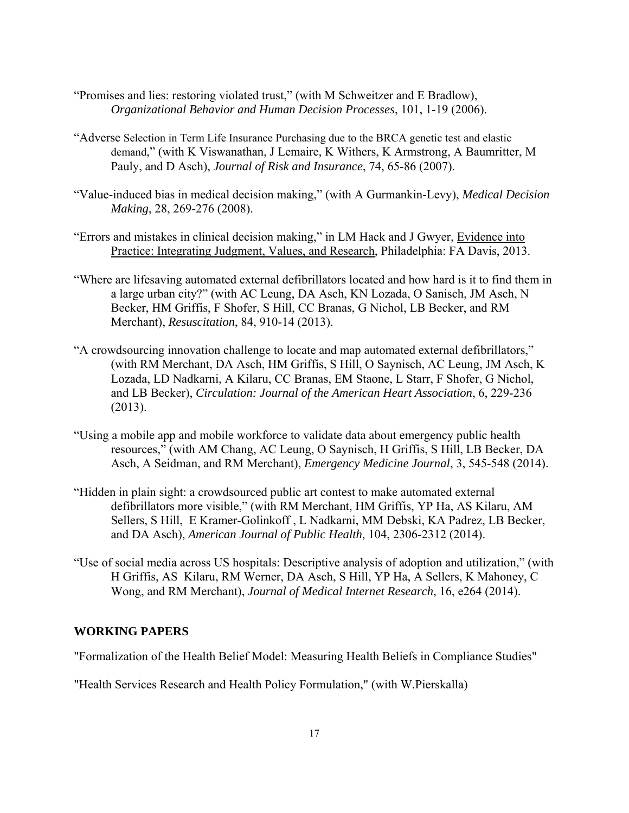- "Promises and lies: restoring violated trust," (with M Schweitzer and E Bradlow), *Organizational Behavior and Human Decision Processes*, 101, 1-19 (2006).
- "Adverse Selection in Term Life Insurance Purchasing due to the BRCA genetic test and elastic demand," (with K Viswanathan, J Lemaire, K Withers, K Armstrong, A Baumritter, M Pauly, and D Asch), *Journal of Risk and Insurance*, 74, 65-86 (2007).
- "Value-induced bias in medical decision making," (with A Gurmankin-Levy), *Medical Decision Making*, 28, 269-276 (2008).
- "Errors and mistakes in clinical decision making," in LM Hack and J Gwyer, Evidence into Practice: Integrating Judgment, Values, and Research, Philadelphia: FA Davis, 2013.
- "Where are lifesaving automated external defibrillators located and how hard is it to find them in a large urban city?" (with AC Leung, DA Asch, KN Lozada, O Sanisch, JM Asch, N Becker, HM Griffis, F Shofer, S Hill, CC Branas, G Nichol, LB Becker, and RM Merchant), *Resuscitation*, 84, 910-14 (2013).
- "A crowdsourcing innovation challenge to locate and map automated external defibrillators," (with RM Merchant, DA Asch, HM Griffis, S Hill, O Saynisch, AC Leung, JM Asch, K Lozada, LD Nadkarni, A Kilaru, CC Branas, EM Staone, L Starr, F Shofer, G Nichol, and LB Becker), *Circulation: Journal of the American Heart Association*, 6, 229-236 (2013).
- "Using a mobile app and mobile workforce to validate data about emergency public health resources," (with AM Chang, AC Leung, O Saynisch, H Griffis, S Hill, LB Becker, DA Asch, A Seidman, and RM Merchant), *Emergency Medicine Journal*, 3, 545-548 (2014).
- "Hidden in plain sight: a crowdsourced public art contest to make automated external defibrillators more visible," (with RM Merchant, HM Griffis, YP Ha, AS Kilaru, AM Sellers, S Hill, E Kramer-Golinkoff , L Nadkarni, MM Debski, KA Padrez, LB Becker, and DA Asch), *American Journal of Public Health*, 104, 2306-2312 (2014).
- "Use of social media across US hospitals: Descriptive analysis of adoption and utilization," (with H Griffis, AS Kilaru, RM Werner, DA Asch, S Hill, YP Ha, A Sellers, K Mahoney, C Wong, and RM Merchant), *Journal of Medical Internet Research*, 16, e264 (2014).

## **WORKING PAPERS**

"Formalization of the Health Belief Model: Measuring Health Beliefs in Compliance Studies"

"Health Services Research and Health Policy Formulation," (with W.Pierskalla)